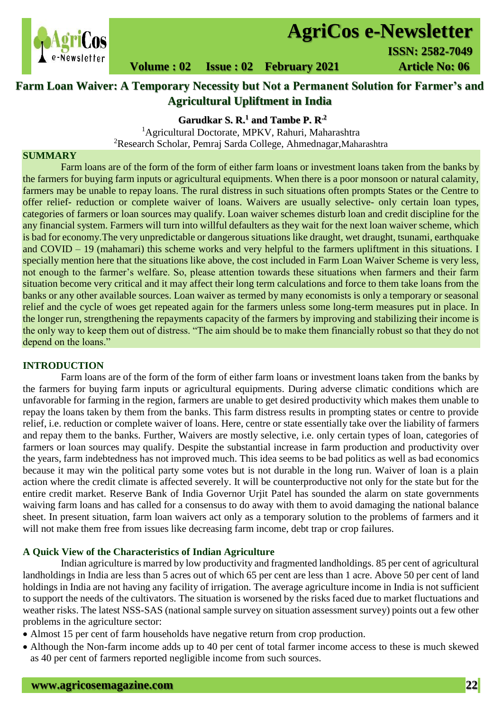

# **AgriCos e-Newsletter**

 **Volume : 02 Issue : 02 February 2021 4rticle No: 06** 

# **Farm Loan Waiver: A Temporary Necessity but Not a Permanent Solution for Farmer's and Agricultural Upliftment in India**

**Garudkar S. R.<sup>1</sup> and Tambe P. R.2**

<sup>1</sup>Agricultural Doctorate, MPKV, Rahuri, Maharashtra <sup>2</sup>Research Scholar, Pemraj Sarda College, Ahmednagar,Maharashtra

#### **SUMMARY**

 Farm loans are of the form of the form of either farm loans or investment loans taken from the banks by the farmers for buying farm inputs or agricultural equipments. When there is a poor monsoon or natural calamity, farmers may be unable to repay loans. The rural distress in such situations often prompts States or the Centre to offer relief- reduction or complete waiver of loans. Waivers are usually selective- only certain loan types, categories of farmers or loan sources may qualify. Loan waiver schemes disturb loan and credit discipline for the any financial system. Farmers will turn into willful defaulters as they wait for the next loan waiver scheme, which is bad for economy.The very unpredictable or dangerous situations like draught, wet draught, tsunami, earthquake and COVID – 19 (mahamari) this scheme works and very helpful to the farmers upliftment in this situations. I specially mention here that the situations like above, the cost included in Farm Loan Waiver Scheme is very less, not enough to the farmer's welfare. So, please attention towards these situations when farmers and their farm situation become very critical and it may affect their long term calculations and force to them take loans from the banks or any other available sources. Loan waiver as termed by many economists is only a temporary or seasonal relief and the cycle of woes get repeated again for the farmers unless some long-term measures put in place. In the longer run, strengthening the repayments capacity of the farmers by improving and stabilizing their income is the only way to keep them out of distress. "The aim should be to make them financially robust so that they do not depend on the loans."

#### **INTRODUCTION**

Farm loans are of the form of the form of either farm loans or investment loans taken from the banks by the farmers for buying farm inputs or agricultural equipments. During adverse climatic conditions which are unfavorable for farming in the region, farmers are unable to get desired productivity which makes them unable to repay the loans taken by them from the banks. This farm distress results in prompting states or centre to provide relief, i.e. reduction or complete waiver of loans. Here, centre or state essentially take over the liability of farmers and repay them to the banks. Further, Waivers are mostly selective, i.e. only certain types of loan, categories of farmers or loan sources may qualify. Despite the substantial increase in farm production and productivity over the years, farm indebtedness has not improved much. This idea seems to be bad politics as well as bad economics because it may win the political party some votes but is not durable in the long run. Waiver of loan is a plain action where the credit climate is affected severely. It will be counterproductive not only for the state but for the entire credit market. Reserve Bank of India Governor Urjit Patel has sounded the alarm on state governments waiving farm loans and has called for a consensus to do away with them to avoid damaging the national balance sheet. In present situation, farm loan waivers act only as a temporary solution to the problems of farmers and it will not make them free from issues like decreasing farm income, debt trap or crop failures.

#### **A Quick View of the Characteristics of Indian Agriculture**

Indian agriculture is marred by low productivity and fragmented landholdings. 85 per cent of agricultural landholdings in India are less than 5 acres out of which 65 per cent are less than 1 acre. Above 50 per cent of land holdings in India are not having any facility of irrigation. The average agriculture income in India is not sufficient to support the needs of the cultivators. The situation is worsened by the risks faced due to market fluctuations and weather risks. The latest NSS-SAS (national sample survey on situation assessment survey) points out a few other problems in the agriculture sector:

- Almost 15 per cent of farm households have negative return from crop production.
- Although the Non-farm income adds up to 40 per cent of total farmer income access to these is much skewed as 40 per cent of farmers reported negligible income from such sources.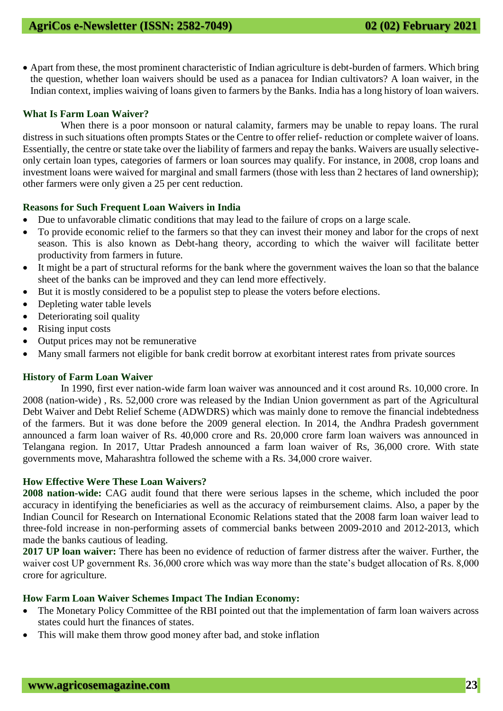Apart from these, the most prominent characteristic of Indian agriculture is debt-burden of farmers. Which bring the question, whether loan waivers should be used as a panacea for Indian cultivators? A loan waiver, in the Indian context, implies waiving of loans given to farmers by the Banks. India has a long history of loan waivers.

# **What Is Farm Loan Waiver?**

When there is a poor monsoon or natural calamity, farmers may be unable to repay loans. The rural distress in such situations often prompts States or the Centre to offer relief- reduction or complete waiver of loans. Essentially, the centre or state take over the liability of farmers and repay the banks. Waivers are usually selectiveonly certain loan types, categories of farmers or loan sources may qualify. For instance, in 2008, crop loans and investment loans were waived for marginal and small farmers (those with less than 2 hectares of land ownership); other farmers were only given a 25 per cent reduction.

# **Reasons for Such Frequent Loan Waivers in India**

- Due to unfavorable climatic conditions that may lead to the failure of crops on a large scale.
- To provide economic relief to the farmers so that they can invest their money and labor for the crops of next season. This is also known as Debt-hang theory, according to which the waiver will facilitate better productivity from farmers in future.
- It might be a part of structural reforms for the bank where the government waives the loan so that the balance sheet of the banks can be improved and they can lend more effectively.
- But it is mostly considered to be a populist step to please the voters before elections.
- Depleting water table levels
- Deteriorating soil quality
- Rising input costs
- Output prices may not be remunerative
- Many small farmers not eligible for bank credit borrow at exorbitant interest rates from private sources

# **History of Farm Loan Waiver**

In 1990, first ever nation-wide farm loan waiver was announced and it cost around Rs. 10,000 crore. In 2008 (nation-wide) , Rs. 52,000 crore was released by the Indian Union government as part of the Agricultural Debt Waiver and Debt Relief Scheme (ADWDRS) which was mainly done to remove the financial indebtedness of the farmers. But it was done before the 2009 general election. In 2014, the Andhra Pradesh government announced a farm loan waiver of Rs. 40,000 crore and Rs. 20,000 crore farm loan waivers was announced in Telangana region. In 2017, Uttar Pradesh announced a farm loan waiver of Rs, 36,000 crore. With state governments move, Maharashtra followed the scheme with a Rs. 34,000 crore waiver.

# **How Effective Were These Loan Waivers?**

**2008 nation-wide:** CAG audit found that there were serious lapses in the scheme, which included the poor accuracy in identifying the beneficiaries as well as the accuracy of reimbursement claims. Also, a paper by the Indian Council for Research on International Economic Relations stated that the 2008 farm loan waiver lead to three-fold increase in non-performing assets of commercial banks between 2009-2010 and 2012-2013, which made the banks cautious of leading.

**2017 UP loan waiver:** There has been no evidence of reduction of farmer distress after the waiver. Further, the waiver cost UP government Rs. 36,000 crore which was way more than the state's budget allocation of Rs. 8,000 crore for agriculture.

#### **How Farm Loan Waiver Schemes Impact The Indian Economy:**

- The Monetary Policy Committee of the RBI pointed out that the implementation of farm loan waivers across states could hurt the finances of states.
- This will make them throw good money after bad, and stoke inflation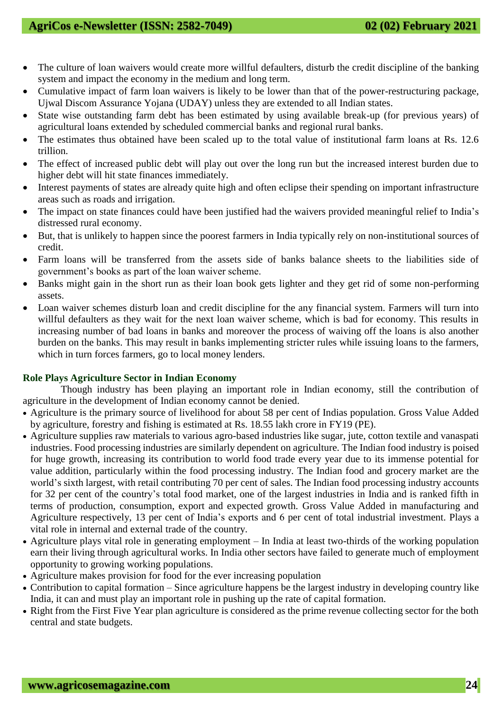- The culture of loan waivers would create more willful defaulters, disturb the credit discipline of the banking system and impact the economy in the medium and long term.
- Cumulative impact of farm loan waivers is likely to be lower than that of the power-restructuring package, Ujwal Discom Assurance Yojana (UDAY) unless they are extended to all Indian states.
- State wise outstanding farm debt has been estimated by using available break-up (for previous years) of agricultural loans extended by scheduled commercial banks and regional rural banks.
- The estimates thus obtained have been scaled up to the total value of institutional farm loans at Rs. 12.6 trillion.
- The effect of increased public debt will play out over the long run but the increased interest burden due to higher debt will hit state finances immediately.
- Interest payments of states are already quite high and often eclipse their spending on important infrastructure areas such as roads and irrigation.
- The impact on state finances could have been justified had the waivers provided meaningful relief to India's distressed rural economy.
- But, that is unlikely to happen since the poorest farmers in India typically rely on non-institutional sources of credit.
- Farm loans will be transferred from the assets side of banks balance sheets to the liabilities side of government's books as part of the loan waiver scheme.
- Banks might gain in the short run as their loan book gets lighter and they get rid of some non-performing assets.
- Loan waiver schemes disturb loan and credit discipline for the any financial system. Farmers will turn into willful defaulters as they wait for the next loan waiver scheme, which is bad for economy. This results in increasing number of bad loans in banks and moreover the process of waiving off the loans is also another burden on the banks. This may result in banks implementing stricter rules while issuing loans to the farmers, which in turn forces farmers, go to local money lenders.

# **Role Plays Agriculture Sector in Indian Economy**

Though industry has been playing an important role in Indian economy, still the contribution of agriculture in the development of Indian economy cannot be denied.

- Agriculture is the primary source of livelihood for about 58 per cent of Indias population. Gross Value Added by agriculture, forestry and fishing is estimated at Rs. 18.55 lakh crore in FY19 (PE).
- Agriculture supplies raw materials to various agro-based industries like sugar, jute, cotton textile and vanaspati industries. Food processing industries are similarly dependent on agriculture. The Indian food industry is poised for huge growth, increasing its contribution to world food trade every year due to its immense potential for value addition, particularly within the food processing industry. The Indian food and grocery market are the world's sixth largest, with retail contributing 70 per cent of sales. The Indian food processing industry accounts for 32 per cent of the country's total food market, one of the largest industries in India and is ranked fifth in terms of production, consumption, export and expected growth. Gross Value Added in manufacturing and Agriculture respectively, 13 per cent of India's exports and 6 per cent of total industrial investment. Plays a vital role in internal and external trade of the country.
- Agriculture plays vital role in generating employment In India at least two-thirds of the working population earn their living through agricultural works. In India other sectors have failed to generate much of employment opportunity to growing working populations.
- Agriculture makes provision for food for the ever increasing population
- Contribution to capital formation Since agriculture happens be the largest industry in developing country like India, it can and must play an important role in pushing up the rate of capital formation.
- Right from the First Five Year plan agriculture is considered as the prime revenue collecting sector for the both central and state budgets.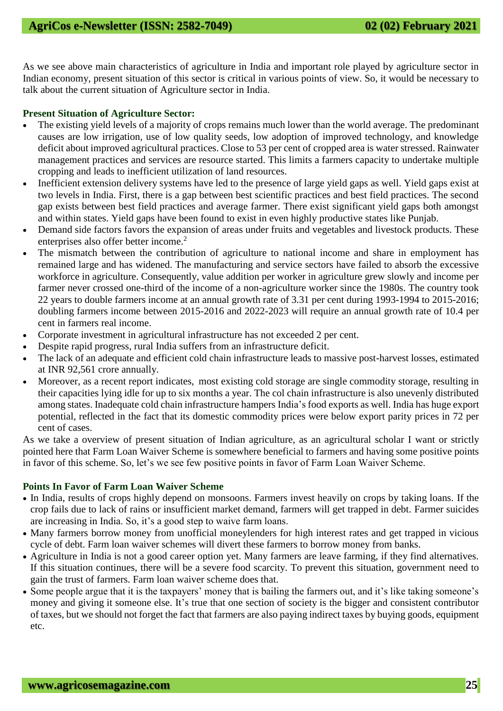As we see above main characteristics of agriculture in India and important role played by agriculture sector in Indian economy, present situation of this sector is critical in various points of view. So, it would be necessary to talk about the current situation of Agriculture sector in India.

#### **Present Situation of Agriculture Sector:**

- The existing yield levels of a majority of crops remains much lower than the world average. The predominant causes are low irrigation, use of low quality seeds, low adoption of improved technology, and knowledge deficit about improved agricultural practices. Close to 53 per cent of cropped area is water stressed. Rainwater management practices and services are resource started. This limits a farmers capacity to undertake multiple cropping and leads to inefficient utilization of land resources.
- Inefficient extension delivery systems have led to the presence of large yield gaps as well. Yield gaps exist at two levels in India. First, there is a gap between best scientific practices and best field practices. The second gap exists between best field practices and average farmer. There exist significant yield gaps both amongst and within states. Yield gaps have been found to exist in even highly productive states like Punjab.
- Demand side factors favors the expansion of areas under fruits and vegetables and livestock products. These enterprises also offer better income.<sup>2</sup>
- The mismatch between the contribution of agriculture to national income and share in employment has remained large and has widened. The manufacturing and service sectors have failed to absorb the excessive workforce in agriculture. Consequently, value addition per worker in agriculture grew slowly and income per farmer never crossed one-third of the income of a non-agriculture worker since the 1980s. The country took 22 years to double farmers income at an annual growth rate of 3.31 per cent during 1993-1994 to 2015-2016; doubling farmers income between 2015-2016 and 2022-2023 will require an annual growth rate of 10.4 per cent in farmers real income.
- Corporate investment in agricultural infrastructure has not exceeded 2 per cent.
- Despite rapid progress, rural India suffers from an infrastructure deficit.
- The lack of an adequate and efficient cold chain infrastructure leads to massive post-harvest losses, estimated at INR 92,561 crore annually.
- Moreover, as a recent report indicates, most existing cold storage are single commodity storage, resulting in their capacities lying idle for up to six months a year. The col chain infrastructure is also unevenly distributed among states. Inadequate cold chain infrastructure hampers India's food exports as well. India has huge export potential, reflected in the fact that its domestic commodity prices were below export parity prices in 72 per cent of cases.

As we take a overview of present situation of Indian agriculture, as an agricultural scholar I want or strictly pointed here that Farm Loan Waiver Scheme is somewhere beneficial to farmers and having some positive points in favor of this scheme. So, let's we see few positive points in favor of Farm Loan Waiver Scheme.

# **Points In Favor of Farm Loan Waiver Scheme**

- In India, results of crops highly depend on monsoons. Farmers invest heavily on crops by taking loans. If the crop fails due to lack of rains or insufficient market demand, farmers will get trapped in debt. Farmer suicides are increasing in India. So, it's a good step to waive farm loans.
- Many farmers borrow money from unofficial moneylenders for high interest rates and get trapped in vicious cycle of debt. Farm loan waiver schemes will divert these farmers to borrow money from banks.
- Agriculture in India is not a good career option yet. Many farmers are leave farming, if they find alternatives. If this situation continues, there will be a severe food scarcity. To prevent this situation, government need to gain the trust of farmers. Farm loan waiver scheme does that.
- Some people argue that it is the taxpayers' money that is bailing the farmers out, and it's like taking someone's money and giving it someone else. It's true that one section of society is the bigger and consistent contributor of taxes, but we should not forget the fact that farmers are also paying indirect taxes by buying goods, equipment etc.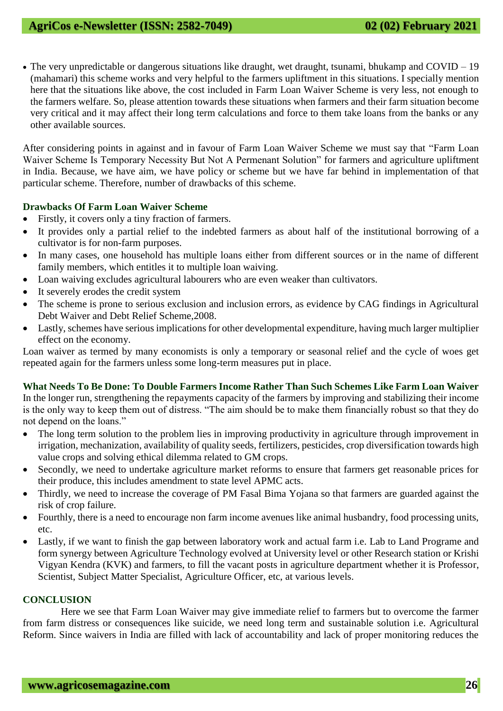• The very unpredictable or dangerous situations like draught, wet draught, tsunami, bhukamp and COVID – 19 (mahamari) this scheme works and very helpful to the farmers upliftment in this situations. I specially mention here that the situations like above, the cost included in Farm Loan Waiver Scheme is very less, not enough to the farmers welfare. So, please attention towards these situations when farmers and their farm situation become very critical and it may affect their long term calculations and force to them take loans from the banks or any other available sources.

After considering points in against and in favour of Farm Loan Waiver Scheme we must say that "Farm Loan Waiver Scheme Is Temporary Necessity But Not A Permenant Solution" for farmers and agriculture upliftment in India. Because, we have aim, we have policy or scheme but we have far behind in implementation of that particular scheme. Therefore, number of drawbacks of this scheme.

# **Drawbacks Of Farm Loan Waiver Scheme**

- Firstly, it covers only a tiny fraction of farmers.
- It provides only a partial relief to the indebted farmers as about half of the institutional borrowing of a cultivator is for non-farm purposes.
- In many cases, one household has multiple loans either from different sources or in the name of different family members, which entitles it to multiple loan waiving.
- Loan waiving excludes agricultural labourers who are even weaker than cultivators.
- It severely erodes the credit system
- The scheme is prone to serious exclusion and inclusion errors, as evidence by CAG findings in Agricultural Debt Waiver and Debt Relief Scheme,2008.
- Lastly, schemes have serious implications for other developmental expenditure, having much larger multiplier effect on the economy.

Loan waiver as termed by many economists is only a temporary or seasonal relief and the cycle of woes get repeated again for the farmers unless some long-term measures put in place.

**What Needs To Be Done: To Double Farmers Income Rather Than Such Schemes Like Farm Loan Waiver** In the longer run, strengthening the repayments capacity of the farmers by improving and stabilizing their income is the only way to keep them out of distress. "The aim should be to make them financially robust so that they do not depend on the loans."

- The long term solution to the problem lies in improving productivity in agriculture through improvement in irrigation, mechanization, availability of quality seeds, fertilizers, pesticides, crop diversification towards high value crops and solving ethical dilemma related to GM crops.
- Secondly, we need to undertake agriculture market reforms to ensure that farmers get reasonable prices for their produce, this includes amendment to state level APMC acts.
- Thirdly, we need to increase the coverage of PM Fasal Bima Yojana so that farmers are guarded against the risk of crop failure.
- Fourthly, there is a need to encourage non farm income avenues like animal husbandry, food processing units, etc.
- Lastly, if we want to finish the gap between laboratory work and actual farm i.e. Lab to Land Programe and form synergy between Agriculture Technology evolved at University level or other Research station or Krishi Vigyan Kendra (KVK) and farmers, to fill the vacant posts in agriculture department whether it is Professor, Scientist, Subject Matter Specialist, Agriculture Officer, etc, at various levels.

#### **CONCLUSION**

Here we see that Farm Loan Waiver may give immediate relief to farmers but to overcome the farmer from farm distress or consequences like suicide, we need long term and sustainable solution i.e. Agricultural Reform. Since waivers in India are filled with lack of accountability and lack of proper monitoring reduces the